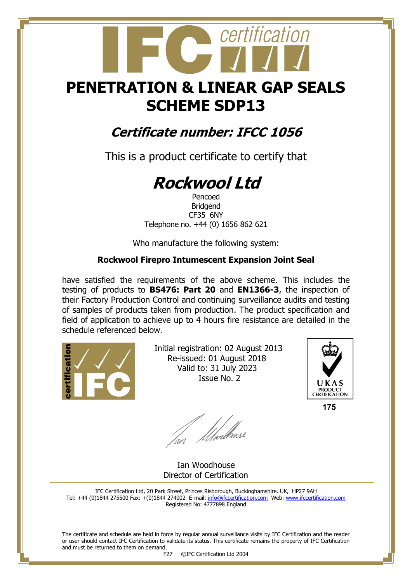## **PENETRATION & LINEAR GAP SEALS SCHEME SDP13**

certification

### **Certificate number: IFCC 1056**

This is a product certificate to certify that

# **Rockwool Ltd**

Pencoed Bridgend CF35 6NY Telephone no. +44 (0) 1656 862 621

Who manufacture the following system:

#### **Rockwool Firepro Intumescent Expansion Joint Seal**

have satisfied the requirements of the above scheme. This includes the testing of products to **BS476: Part 20** and **EN1366-3**, the inspection of their Factory Production Control and continuing surveillance audits and testing of samples of products taken from production. The product specification and field of application to achieve up to 4 hours fire resistance are detailed in the schedule referenced below.



 Initial registration: 02 August 2013 Re-issued: 01 August 2018 Valid to: 31 July 2023 Issue No. 2



175

fan Moedhouse

 Ian Woodhouse Director of Certification

IFC Certification Ltd, 20 Park Street, Princes Risborough, Buckinghamshire. UK, HP27 9AH Tel: +44 (0)1844 275500 Fax: +(0)1844 274002 E-mail[: info@ifccertification.com](mailto:info@ifccertification.com) Web: [www.ifccertification.com](http://www.ifccertification.com/) Registered No: 4777898 England

The certificate and schedule are held in force by regular annual surveillance visits by IFC Certification and the reader or user should contact IFC Certification to validate its status. This certificate remains the property of IFC Certification and must be returned to them on demand.